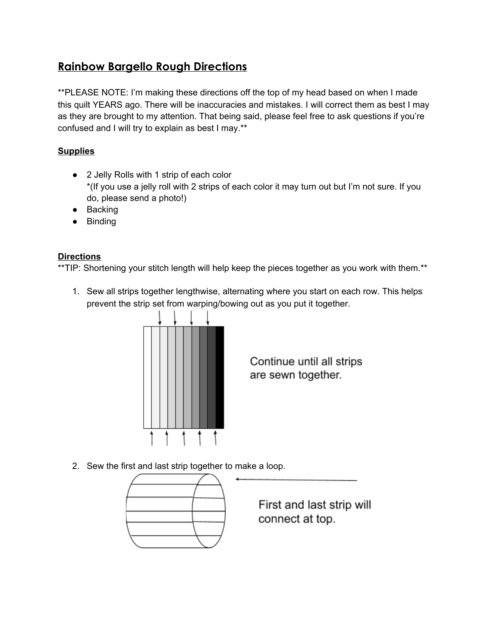## **Rainbow Bargello Rough Directions**

\*\*PLEASE NOTE: I'm making these directions off the top of my head based on when I made this quilt YEARS ago. There will be inaccuracies and mistakes. I will correct them as best I may as they are brought to my attention. That being said, please feel free to ask questions if you're confused and I will try to explain as best I may.\*\*

## **Supplies**

- 2 Jelly Rolls with 1 strip of each color \*(If you use a jelly roll with 2 strips of each color it may turn out but I'm not sure. If you do, please send a photo!)
- Backing
- Binding

## **Directions**

\*\*TIP: Shortening your stitch length will help keep the pieces together as you work with them.\*\*

1. Sew all strips together lengthwise, alternating where you start on each row. This helps prevent the strip set from warping/bowing out as you put it together.



Continue until all strips are sewn together.

2. Sew the first and last strip together to make a loop.